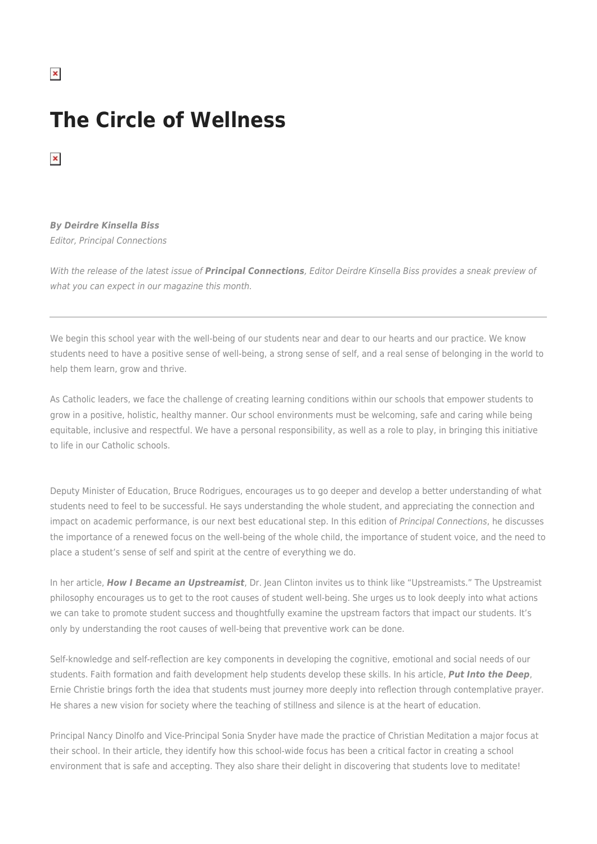## **The Circle of Wellness**

 $\pmb{\times}$ 

## *By Deirdre Kinsella Biss*

Editor, Principal Connections

With the release of the latest issue of *Principal Connections*, Editor Deirdre Kinsella Biss provides a sneak preview of what you can expect in our magazine this month.

We begin this school year with the well-being of our students near and dear to our hearts and our practice. We know students need to have a positive sense of well-being, a strong sense of self, and a real sense of belonging in the world to help them learn, grow and thrive.

As Catholic leaders, we face the challenge of creating learning conditions within our schools that empower students to grow in a positive, holistic, healthy manner. Our school environments must be welcoming, safe and caring while being equitable, inclusive and respectful. We have a personal responsibility, as well as a role to play, in bringing this initiative to life in our Catholic schools.

Deputy Minister of Education, Bruce Rodrigues, encourages us to go deeper and develop a better understanding of what students need to feel to be successful. He says understanding the whole student, and appreciating the connection and impact on academic performance, is our next best educational step. In this edition of Principal Connections, he discusses the importance of a renewed focus on the well-being of the whole child, the importance of student voice, and the need to place a student's sense of self and spirit at the centre of everything we do.

In her article, *How I Became an Upstreamist*, Dr. Jean Clinton invites us to think like "Upstreamists." The Upstreamist philosophy encourages us to get to the root causes of student well-being. She urges us to look deeply into what actions we can take to promote student success and thoughtfully examine the upstream factors that impact our students. It's only by understanding the root causes of well-being that preventive work can be done.

Self-knowledge and self-reflection are key components in developing the cognitive, emotional and social needs of our students. Faith formation and faith development help students develop these skills. In his article, *Put Into the Deep*, Ernie Christie brings forth the idea that students must journey more deeply into reflection through contemplative prayer. He shares a new vision for society where the teaching of stillness and silence is at the heart of education.

Principal Nancy Dinolfo and Vice-Principal Sonia Snyder have made the practice of Christian Meditation a major focus at their school. In their article, they identify how this school-wide focus has been a critical factor in creating a school environment that is safe and accepting. They also share their delight in discovering that students love to meditate!